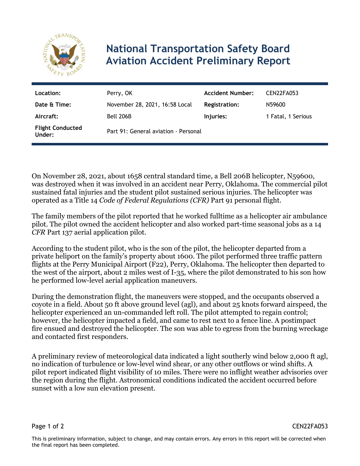

## **National Transportation Safety Board Aviation Accident Preliminary Report**

| Location:                         | Perry, OK                            | <b>Accident Number:</b> | CEN22FA053         |
|-----------------------------------|--------------------------------------|-------------------------|--------------------|
| Date & Time:                      | November 28, 2021, 16:58 Local       | <b>Registration:</b>    | N59600             |
| Aircraft:                         | Bell 206B                            | Injuries:               | 1 Fatal, 1 Serious |
| <b>Flight Conducted</b><br>Under: | Part 91: General aviation - Personal |                         |                    |

On November 28, 2021, about 1658 central standard time, a Bell 206B helicopter, N59600, was destroyed when it was involved in an accident near Perry, Oklahoma. The commercial pilot sustained fatal injuries and the student pilot sustained serious injuries. The helicopter was operated as a Title 14 *Code of Federal Regulations (CFR)* Part 91 personal flight.

The family members of the pilot reported that he worked fulltime as a helicopter air ambulance pilot. The pilot owned the accident helicopter and also worked part-time seasonal jobs as a 14 *CFR* Part 137 aerial application pilot.

According to the student pilot, who is the son of the pilot, the helicopter departed from a private heliport on the family's property about 1600. The pilot performed three traffic pattern flights at the Perry Municipal Airport (F22), Perry, Oklahoma. The helicopter then departed to the west of the airport, about 2 miles west of I-35, where the pilot demonstrated to his son how he performed low-level aerial application maneuvers.

During the demonstration flight, the maneuvers were stopped, and the occupants observed a coyote in a field. About 50 ft above ground level (agl), and about 25 knots forward airspeed, the helicopter experienced an un-commanded left roll. The pilot attempted to regain control; however, the helicopter impacted a field, and came to rest next to a fence line. A postimpact fire ensued and destroyed the helicopter. The son was able to egress from the burning wreckage and contacted first responders.

A preliminary review of meteorological data indicated a light southerly wind below 2,000 ft agl, no indication of turbulence or low-level wind shear, or any other outflows or wind shifts. A pilot report indicated flight visibility of 10 miles. There were no inflight weather advisories over the region during the flight. Astronomical conditions indicated the accident occurred before sunset with a low sun elevation present.

Page 1 of 2 CEN22FA053